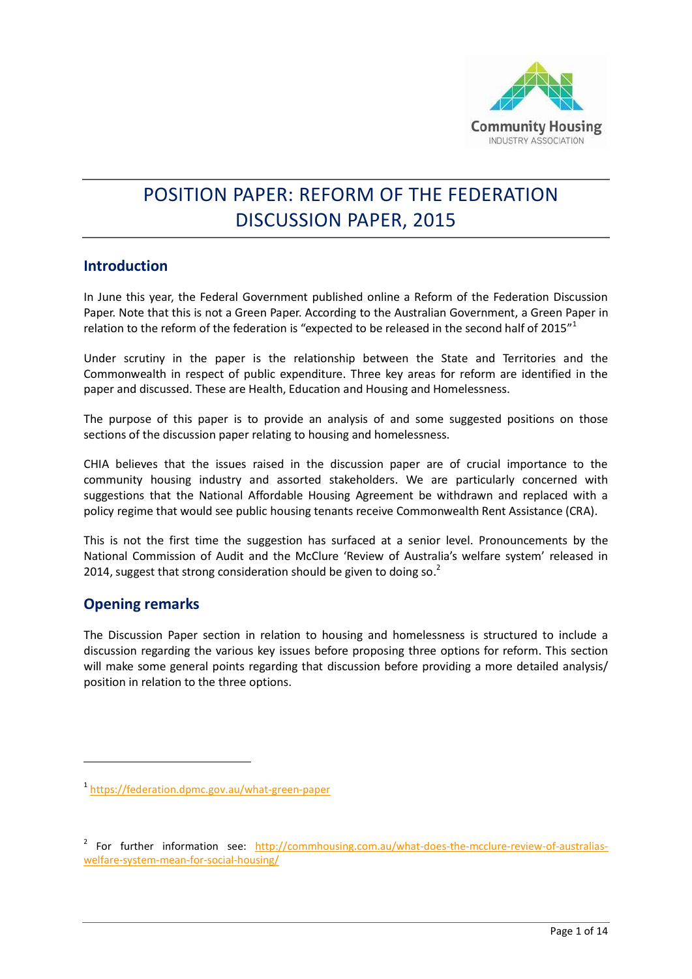

# POSITION PAPER: REFORM OF THE FEDERATION DISCUSSION PAPER, 2015

## **Introduction**

In June this year, the Federal Government published online a Reform of the Federation Discussion Paper. Note that this is not a Green Paper. According to the Australian Government, a Green Paper in relation to the reform of the federation is "expected to be released in the second half of 2015"<sup>1</sup>

Under scrutiny in the paper is the relationship between the State and Territories and the Commonwealth in respect of public expenditure. Three key areas for reform are identified in the paper and discussed. These are Health, Education and Housing and Homelessness.

The purpose of this paper is to provide an analysis of and some suggested positions on those sections of the discussion paper relating to housing and homelessness.

CHIA believes that the issues raised in the discussion paper are of crucial importance to the community housing industry and assorted stakeholders. We are particularly concerned with suggestions that the National Affordable Housing Agreement be withdrawn and replaced with a policy regime that would see public housing tenants receive Commonwealth Rent Assistance (CRA).

This is not the first time the suggestion has surfaced at a senior level. Pronouncements by the National Commission of Audit and the McClure 'Review of Australia's welfare system' released in 2014, suggest that strong consideration should be given to doing so. $2$ 

# **Opening remarks**

1

The Discussion Paper section in relation to housing and homelessness is structured to include a discussion regarding the various key issues before proposing three options for reform. This section will make some general points regarding that discussion before providing a more detailed analysis/ position in relation to the three options.

<sup>1</sup> <https://federation.dpmc.gov.au/what-green-paper>

<sup>&</sup>lt;sup>2</sup> For further information see: [http://commhousing.com.au/what-does-the-mcclure-review-of-australias](http://commhousing.com.au/what-does-the-mcclure-review-of-australias-welfare-system-mean-for-social-housing/)[welfare-system-mean-for-social-housing/](http://commhousing.com.au/what-does-the-mcclure-review-of-australias-welfare-system-mean-for-social-housing/)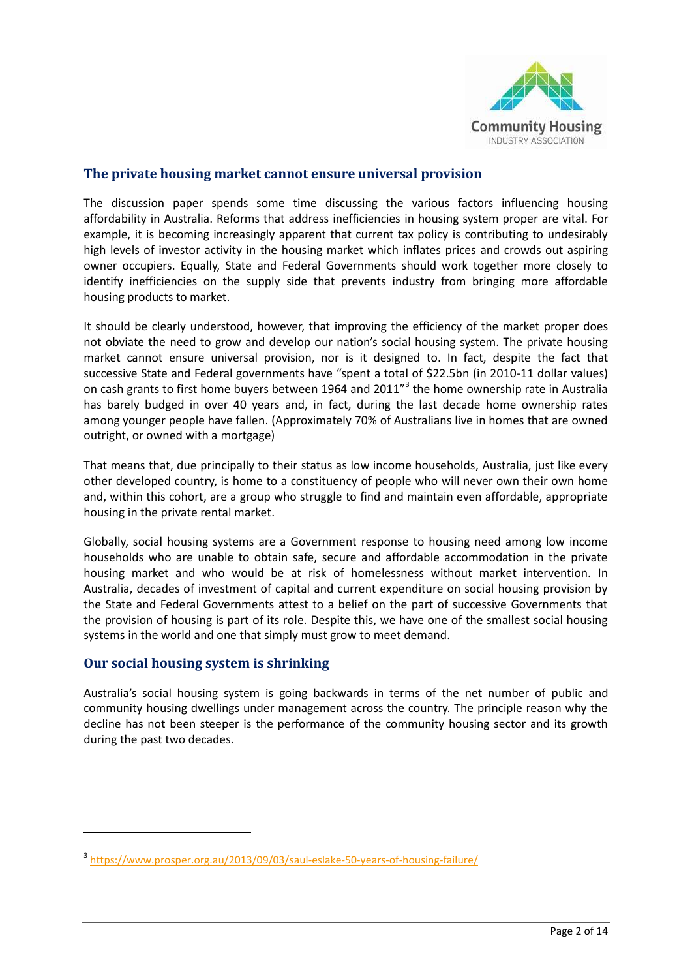

#### **The private housing market cannot ensure universal provision**

The discussion paper spends some time discussing the various factors influencing housing affordability in Australia. Reforms that address inefficiencies in housing system proper are vital. For example, it is becoming increasingly apparent that current tax policy is contributing to undesirably high levels of investor activity in the housing market which inflates prices and crowds out aspiring owner occupiers. Equally, State and Federal Governments should work together more closely to identify inefficiencies on the supply side that prevents industry from bringing more affordable housing products to market.

It should be clearly understood, however, that improving the efficiency of the market proper does not obviate the need to grow and develop our nation's social housing system. The private housing market cannot ensure universal provision, nor is it designed to. In fact, despite the fact that successive State and Federal governments have "spent a total of \$22.5bn (in 2010-11 dollar values) on cash grants to first home buyers between 1964 and 2011<sup>"3</sup> the home ownership rate in Australia has barely budged in over 40 years and, in fact, during the last decade home ownership rates among younger people have fallen. (Approximately 70% of Australians live in homes that are owned outright, or owned with a mortgage)

That means that, due principally to their status as low income households, Australia, just like every other developed country, is home to a constituency of people who will never own their own home and, within this cohort, are a group who struggle to find and maintain even affordable, appropriate housing in the private rental market.

Globally, social housing systems are a Government response to housing need among low income households who are unable to obtain safe, secure and affordable accommodation in the private housing market and who would be at risk of homelessness without market intervention. In Australia, decades of investment of capital and current expenditure on social housing provision by the State and Federal Governments attest to a belief on the part of successive Governments that the provision of housing is part of its role. Despite this, we have one of the smallest social housing systems in the world and one that simply must grow to meet demand.

## **Our social housing system is shrinking**

**.** 

Australia's social housing system is going backwards in terms of the net number of public and community housing dwellings under management across the country. The principle reason why the decline has not been steeper is the performance of the community housing sector and its growth during the past two decades.

<sup>&</sup>lt;sup>3</sup> <https://www.prosper.org.au/2013/09/03/saul-eslake-50-years-of-housing-failure/>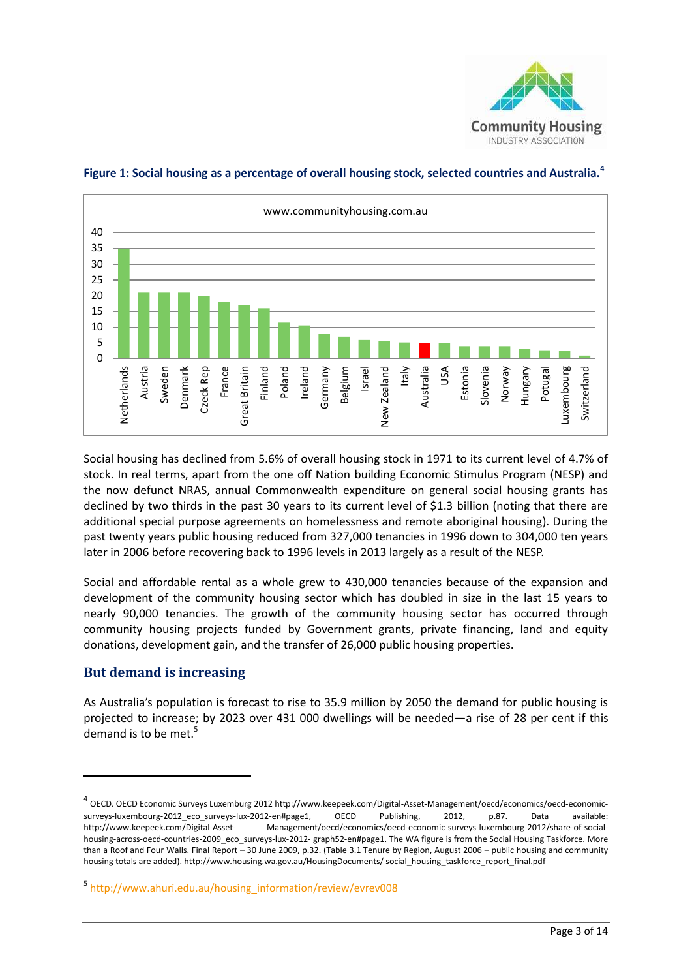



#### **Figure 1: Social housing as a percentage of overall housing stock, selected countries and Australia.<sup>4</sup>**

Social housing has declined from 5.6% of overall housing stock in 1971 to its current level of 4.7% of stock. In real terms, apart from the one off Nation building Economic Stimulus Program (NESP) and the now defunct NRAS, annual Commonwealth expenditure on general social housing grants has declined by two thirds in the past 30 years to its current level of \$1.3 billion (noting that there are additional special purpose agreements on homelessness and remote aboriginal housing). During the past twenty years public housing reduced from 327,000 tenancies in 1996 down to 304,000 ten years later in 2006 before recovering back to 1996 levels in 2013 largely as a result of the NESP.

Social and affordable rental as a whole grew to 430,000 tenancies because of the expansion and development of the community housing sector which has doubled in size in the last 15 years to nearly 90,000 tenancies. The growth of the community housing sector has occurred through community housing projects funded by Government grants, private financing, land and equity donations, development gain, and the transfer of 26,000 public housing properties.

#### **But demand is increasing**

**.** 

As Australia's population is forecast to rise to 35.9 million by 2050 the demand for public housing is projected to increase; by 2023 over 431 000 dwellings will be needed—a rise of 28 per cent if this demand is to be met. $5$ 

<sup>4</sup> OECD. OECD Economic Surveys Luxemburg 2012 http://www.keepeek.com/Digital-Asset-Management/oecd/economics/oecd-economicsurveys-luxembourg-2012 eco surveys-lux-2012-en#page1, OECD Publishing, 2012, p.87. Data available: http://www.keepeek.com/Digital-Asset- Management/oecd/economics/oecd-economic-surveys-luxembourg-2012/share-of-socialhousing-across-oecd-countries-2009\_eco\_surveys-lux-2012- graph52-en#page1. The WA figure is from the Social Housing Taskforce. More than a Roof and Four Walls. Final Report – 30 June 2009, p.32. (Table 3.1 Tenure by Region, August 2006 – public housing and community housing totals are added). http://www.housing.wa.gov.au/HousingDocuments/ social housing taskforce\_report\_final.pdf

<sup>5</sup> [http://www.ahuri.edu.au/housing\\_information/review/evrev008](http://www.ahuri.edu.au/housing_information/review/evrev008)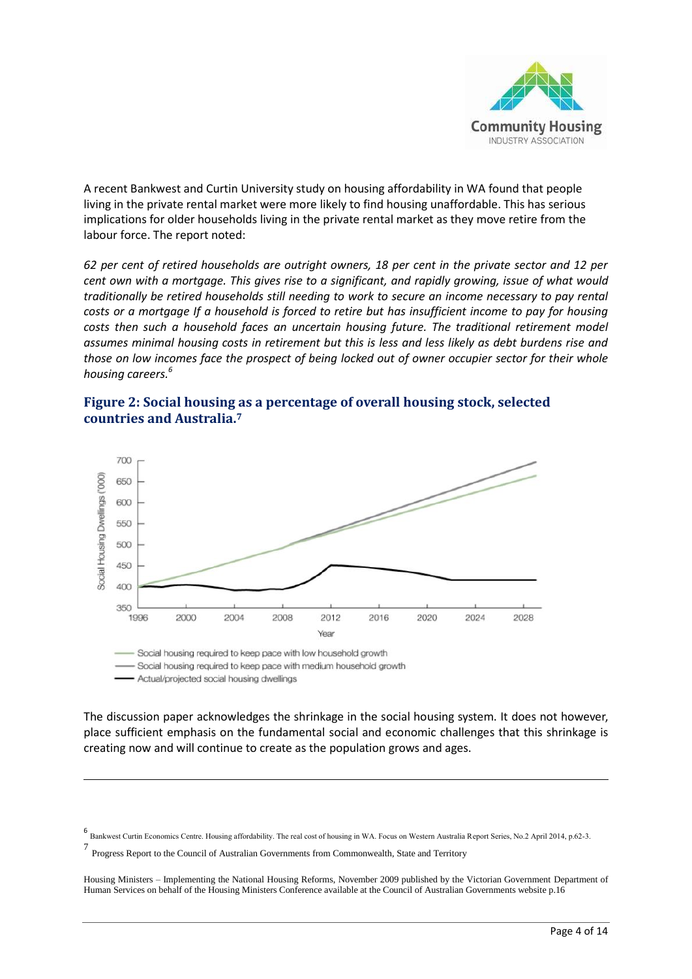

A recent Bankwest and Curtin University study on housing affordability in WA found that people living in the private rental market were more likely to find housing unaffordable. This has serious implications for older households living in the private rental market as they move retire from the labour force. The report noted:

*62 per cent of retired households are outright owners, 18 per cent in the private sector and 12 per cent own with a mortgage. This gives rise to a significant, and rapidly growing, issue of what would traditionally be retired households still needing to work to secure an income necessary to pay rental costs or a mortgage If a household is forced to retire but has insufficient income to pay for housing costs then such a household faces an uncertain housing future. The traditional retirement model assumes minimal housing costs in retirement but this is less and less likely as debt burdens rise and those on low incomes face the prospect of being locked out of owner occupier sector for their whole housing careers.<sup>6</sup>*





- Social housing required to keep pace with medium household growth

- Actual/projected social housing dwellings

**.** 

The discussion paper acknowledges the shrinkage in the social housing system. It does not however, place sufficient emphasis on the fundamental social and economic challenges that this shrinkage is creating now and will continue to create as the population grows and ages.

<sup>6&</sup>lt;br>Bankwest Curtin Economics Centre. Housing affordability. The real cost of housing in WA. Focus on Western Australia Report Series, No.2 April 2014, p.62-3.

Progress Report to the Council of Australian Governments from Commonwealth, State and Territory

Housing Ministers – Implementing the National Housing Reforms, November 2009 published by the Victorian Government Department of Human Services on behalf of the Housing Ministers Conference available at the Council of Australian Governments website p.16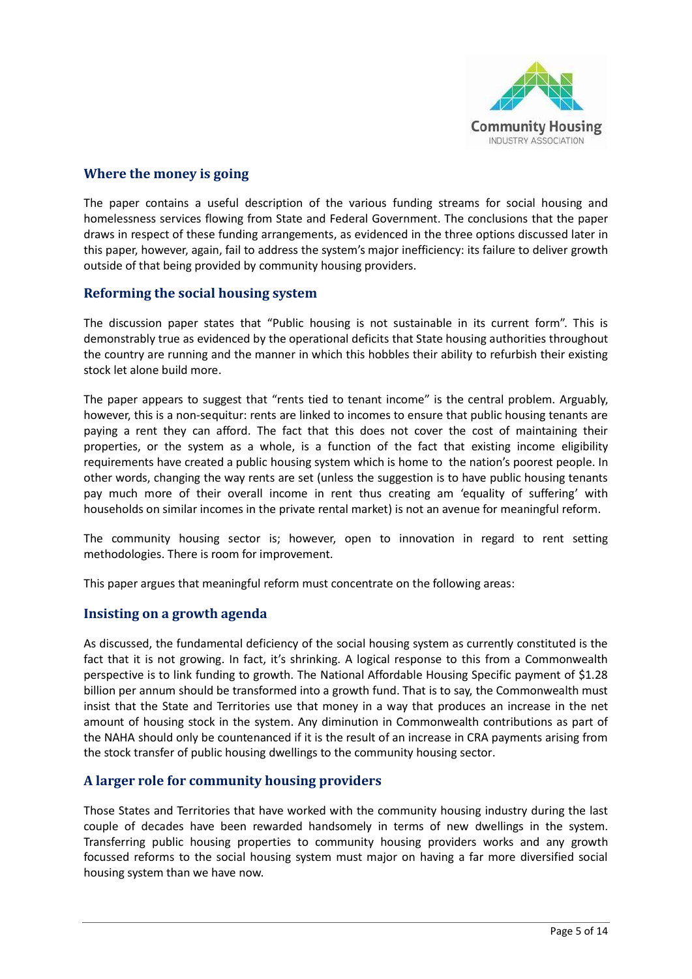

## **Where the money is going**

The paper contains a useful description of the various funding streams for social housing and homelessness services flowing from State and Federal Government. The conclusions that the paper draws in respect of these funding arrangements, as evidenced in the three options discussed later in this paper, however, again, fail to address the system's major inefficiency: its failure to deliver growth outside of that being provided by community housing providers.

#### **Reforming the social housing system**

The discussion paper states that "Public housing is not sustainable in its current form". This is demonstrably true as evidenced by the operational deficits that State housing authorities throughout the country are running and the manner in which this hobbles their ability to refurbish their existing stock let alone build more.

The paper appears to suggest that "rents tied to tenant income" is the central problem. Arguably, however, this is a non-sequitur: rents are linked to incomes to ensure that public housing tenants are paying a rent they can afford. The fact that this does not cover the cost of maintaining their properties, or the system as a whole, is a function of the fact that existing income eligibility requirements have created a public housing system which is home to the nation's poorest people. In other words, changing the way rents are set (unless the suggestion is to have public housing tenants pay much more of their overall income in rent thus creating am 'equality of suffering' with households on similar incomes in the private rental market) is not an avenue for meaningful reform.

The community housing sector is; however, open to innovation in regard to rent setting methodologies. There is room for improvement.

This paper argues that meaningful reform must concentrate on the following areas:

#### **Insisting on a growth agenda**

As discussed, the fundamental deficiency of the social housing system as currently constituted is the fact that it is not growing. In fact, it's shrinking. A logical response to this from a Commonwealth perspective is to link funding to growth. The National Affordable Housing Specific payment of \$1.28 billion per annum should be transformed into a growth fund. That is to say, the Commonwealth must insist that the State and Territories use that money in a way that produces an increase in the net amount of housing stock in the system. Any diminution in Commonwealth contributions as part of the NAHA should only be countenanced if it is the result of an increase in CRA payments arising from the stock transfer of public housing dwellings to the community housing sector.

#### **A larger role for community housing providers**

Those States and Territories that have worked with the community housing industry during the last couple of decades have been rewarded handsomely in terms of new dwellings in the system. Transferring public housing properties to community housing providers works and any growth focussed reforms to the social housing system must major on having a far more diversified social housing system than we have now.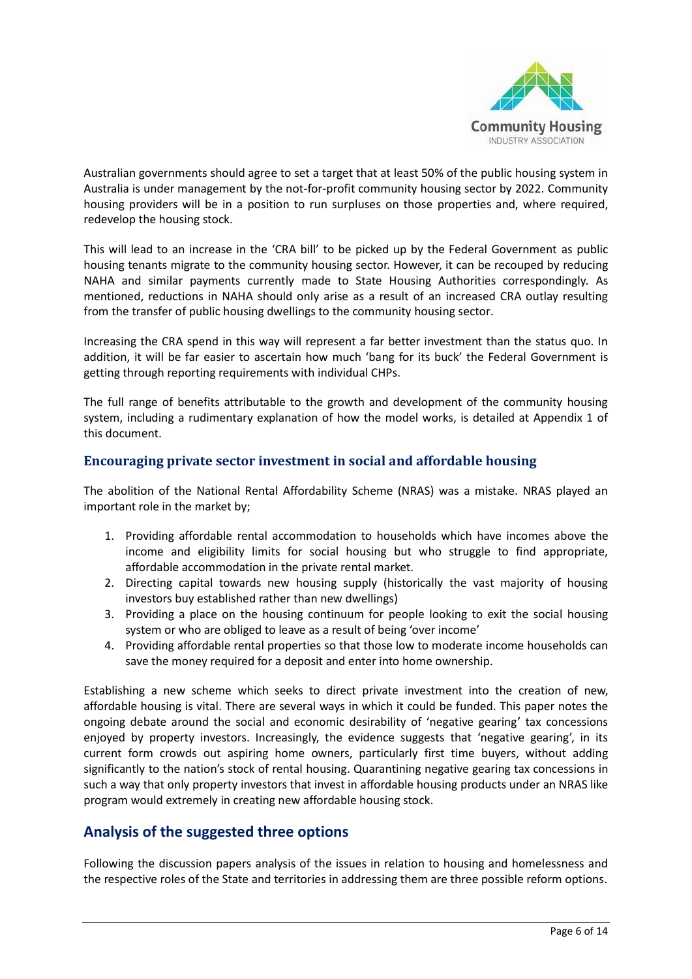

Australian governments should agree to set a target that at least 50% of the public housing system in Australia is under management by the not-for-profit community housing sector by 2022. Community housing providers will be in a position to run surpluses on those properties and, where required, redevelop the housing stock.

This will lead to an increase in the 'CRA bill' to be picked up by the Federal Government as public housing tenants migrate to the community housing sector. However, it can be recouped by reducing NAHA and similar payments currently made to State Housing Authorities correspondingly. As mentioned, reductions in NAHA should only arise as a result of an increased CRA outlay resulting from the transfer of public housing dwellings to the community housing sector.

Increasing the CRA spend in this way will represent a far better investment than the status quo. In addition, it will be far easier to ascertain how much 'bang for its buck' the Federal Government is getting through reporting requirements with individual CHPs.

The full range of benefits attributable to the growth and development of the community housing system, including a rudimentary explanation of how the model works, is detailed at Appendix 1 of this document.

## **Encouraging private sector investment in social and affordable housing**

The abolition of the National Rental Affordability Scheme (NRAS) was a mistake. NRAS played an important role in the market by;

- 1. Providing affordable rental accommodation to households which have incomes above the income and eligibility limits for social housing but who struggle to find appropriate, affordable accommodation in the private rental market.
- 2. Directing capital towards new housing supply (historically the vast majority of housing investors buy established rather than new dwellings)
- 3. Providing a place on the housing continuum for people looking to exit the social housing system or who are obliged to leave as a result of being 'over income'
- 4. Providing affordable rental properties so that those low to moderate income households can save the money required for a deposit and enter into home ownership.

Establishing a new scheme which seeks to direct private investment into the creation of new, affordable housing is vital. There are several ways in which it could be funded. This paper notes the ongoing debate around the social and economic desirability of 'negative gearing' tax concessions enjoyed by property investors. Increasingly, the evidence suggests that 'negative gearing', in its current form crowds out aspiring home owners, particularly first time buyers, without adding significantly to the nation's stock of rental housing. Quarantining negative gearing tax concessions in such a way that only property investors that invest in affordable housing products under an NRAS like program would extremely in creating new affordable housing stock.

# **Analysis of the suggested three options**

Following the discussion papers analysis of the issues in relation to housing and homelessness and the respective roles of the State and territories in addressing them are three possible reform options.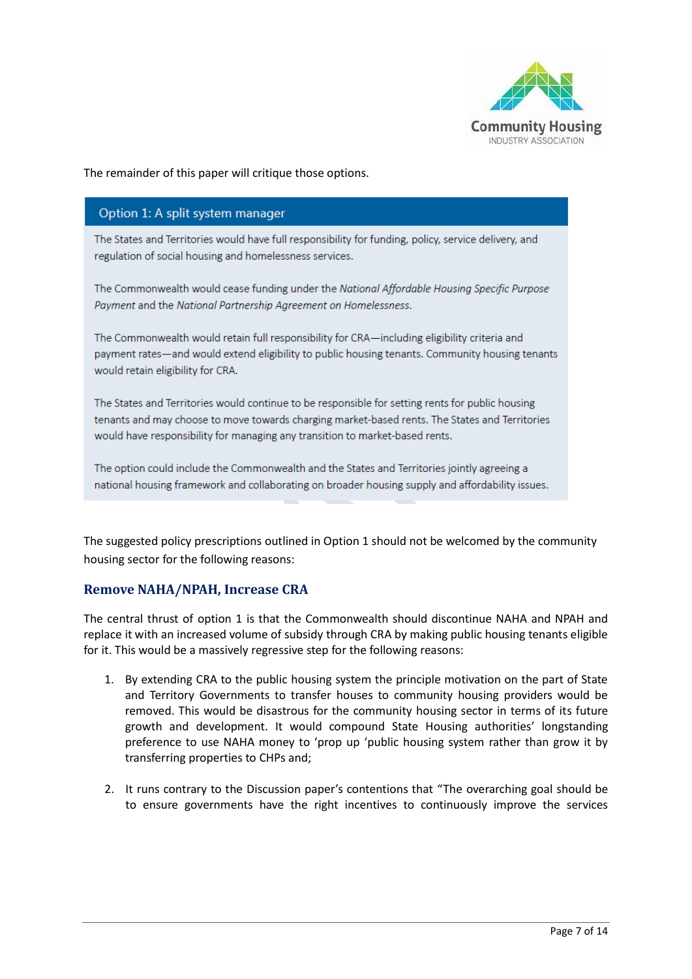

The remainder of this paper will critique those options.

#### Option 1: A split system manager

The States and Territories would have full responsibility for funding, policy, service delivery, and regulation of social housing and homelessness services.

The Commonwealth would cease funding under the National Affordable Housing Specific Purpose Payment and the National Partnership Agreement on Homelessness.

The Commonwealth would retain full responsibility for CRA-including eligibility criteria and payment rates—and would extend eligibility to public housing tenants. Community housing tenants would retain eligibility for CRA.

The States and Territories would continue to be responsible for setting rents for public housing tenants and may choose to move towards charging market-based rents. The States and Territories would have responsibility for managing any transition to market-based rents.

The option could include the Commonwealth and the States and Territories jointly agreeing a national housing framework and collaborating on broader housing supply and affordability issues.

The suggested policy prescriptions outlined in Option 1 should not be welcomed by the community housing sector for the following reasons:

## **Remove NAHA/NPAH, Increase CRA**

The central thrust of option 1 is that the Commonwealth should discontinue NAHA and NPAH and replace it with an increased volume of subsidy through CRA by making public housing tenants eligible for it. This would be a massively regressive step for the following reasons:

- 1. By extending CRA to the public housing system the principle motivation on the part of State and Territory Governments to transfer houses to community housing providers would be removed. This would be disastrous for the community housing sector in terms of its future growth and development. It would compound State Housing authorities' longstanding preference to use NAHA money to 'prop up 'public housing system rather than grow it by transferring properties to CHPs and;
- 2. It runs contrary to the Discussion paper's contentions that "The overarching goal should be to ensure governments have the right incentives to continuously improve the services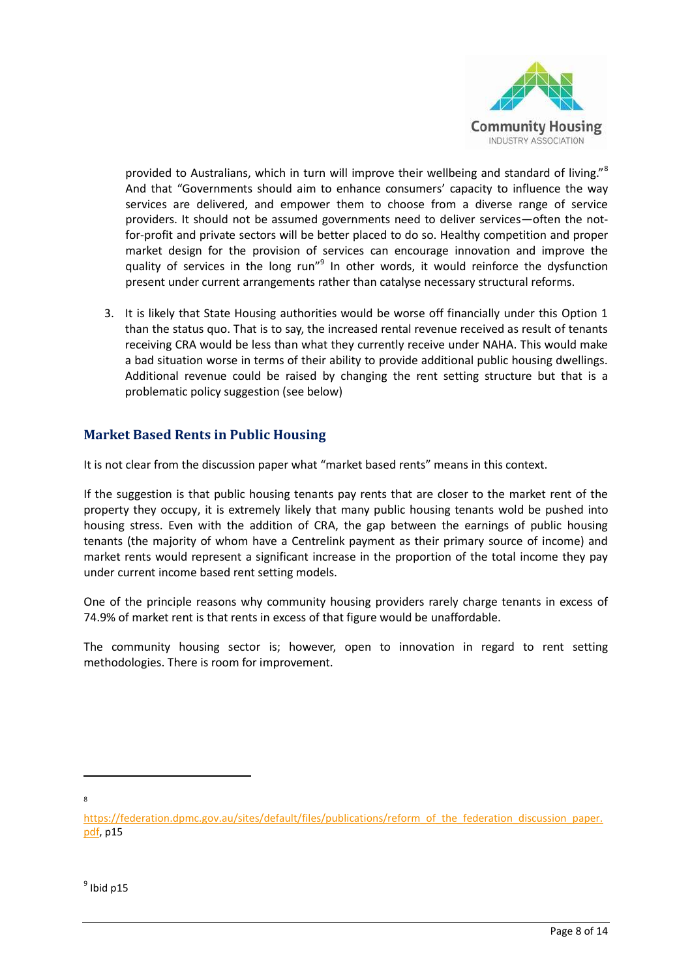

provided to Australians, which in turn will improve their wellbeing and standard of living."<sup>8</sup> And that "Governments should aim to enhance consumers' capacity to influence the way services are delivered, and empower them to choose from a diverse range of service providers. It should not be assumed governments need to deliver services—often the notfor-profit and private sectors will be better placed to do so. Healthy competition and proper market design for the provision of services can encourage innovation and improve the quality of services in the long run"<sup>9</sup> In other words, it would reinforce the dysfunction present under current arrangements rather than catalyse necessary structural reforms.

3. It is likely that State Housing authorities would be worse off financially under this Option 1 than the status quo. That is to say, the increased rental revenue received as result of tenants receiving CRA would be less than what they currently receive under NAHA. This would make a bad situation worse in terms of their ability to provide additional public housing dwellings. Additional revenue could be raised by changing the rent setting structure but that is a problematic policy suggestion (see below)

## **Market Based Rents in Public Housing**

It is not clear from the discussion paper what "market based rents" means in this context.

If the suggestion is that public housing tenants pay rents that are closer to the market rent of the property they occupy, it is extremely likely that many public housing tenants wold be pushed into housing stress. Even with the addition of CRA, the gap between the earnings of public housing tenants (the majority of whom have a Centrelink payment as their primary source of income) and market rents would represent a significant increase in the proportion of the total income they pay under current income based rent setting models.

One of the principle reasons why community housing providers rarely charge tenants in excess of 74.9% of market rent is that rents in excess of that figure would be unaffordable.

The community housing sector is; however, open to innovation in regard to rent setting methodologies. There is room for improvement.

1 8

[https://federation.dpmc.gov.au/sites/default/files/publications/reform\\_of\\_the\\_federation\\_discussion\\_paper.](https://federation.dpmc.gov.au/sites/default/files/publications/reform_of_the_federation_discussion_paper.pdf) [pdf,](https://federation.dpmc.gov.au/sites/default/files/publications/reform_of_the_federation_discussion_paper.pdf) p15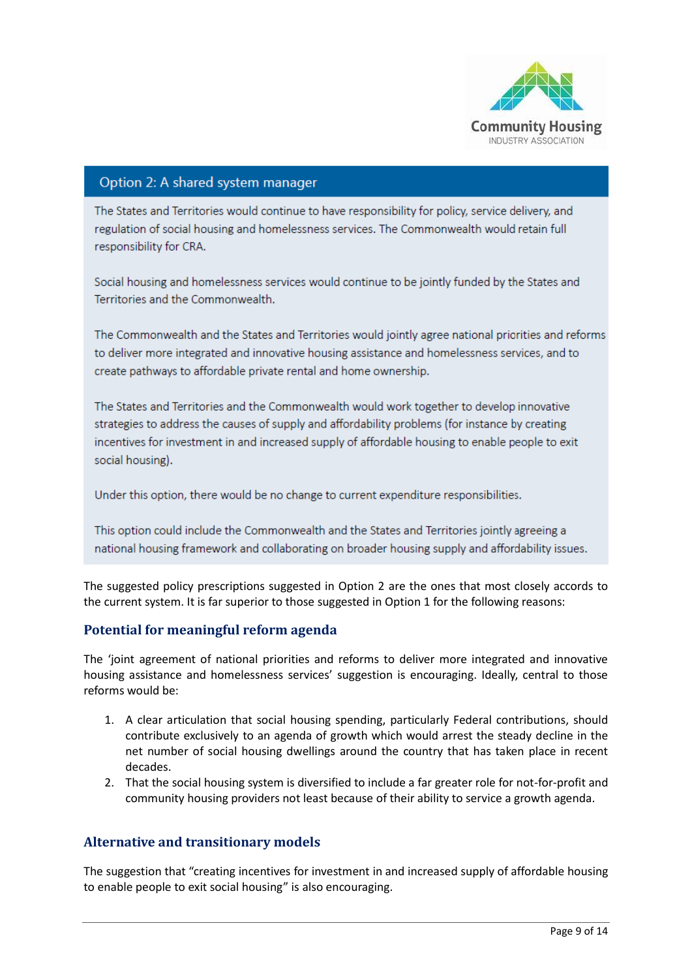

## Option 2: A shared system manager

The States and Territories would continue to have responsibility for policy, service delivery, and regulation of social housing and homelessness services. The Commonwealth would retain full responsibility for CRA.

Social housing and homelessness services would continue to be jointly funded by the States and Territories and the Commonwealth.

The Commonwealth and the States and Territories would jointly agree national priorities and reforms to deliver more integrated and innovative housing assistance and homelessness services, and to create pathways to affordable private rental and home ownership.

The States and Territories and the Commonwealth would work together to develop innovative strategies to address the causes of supply and affordability problems (for instance by creating incentives for investment in and increased supply of affordable housing to enable people to exit social housing).

Under this option, there would be no change to current expenditure responsibilities.

This option could include the Commonwealth and the States and Territories jointly agreeing a national housing framework and collaborating on broader housing supply and affordability issues.

The suggested policy prescriptions suggested in Option 2 are the ones that most closely accords to the current system. It is far superior to those suggested in Option 1 for the following reasons:

## **Potential for meaningful reform agenda**

The 'joint agreement of national priorities and reforms to deliver more integrated and innovative housing assistance and homelessness services' suggestion is encouraging. Ideally, central to those reforms would be:

- 1. A clear articulation that social housing spending, particularly Federal contributions, should contribute exclusively to an agenda of growth which would arrest the steady decline in the net number of social housing dwellings around the country that has taken place in recent decades.
- 2. That the social housing system is diversified to include a far greater role for not-for-profit and community housing providers not least because of their ability to service a growth agenda.

#### **Alternative and transitionary models**

The suggestion that "creating incentives for investment in and increased supply of affordable housing to enable people to exit social housing" is also encouraging.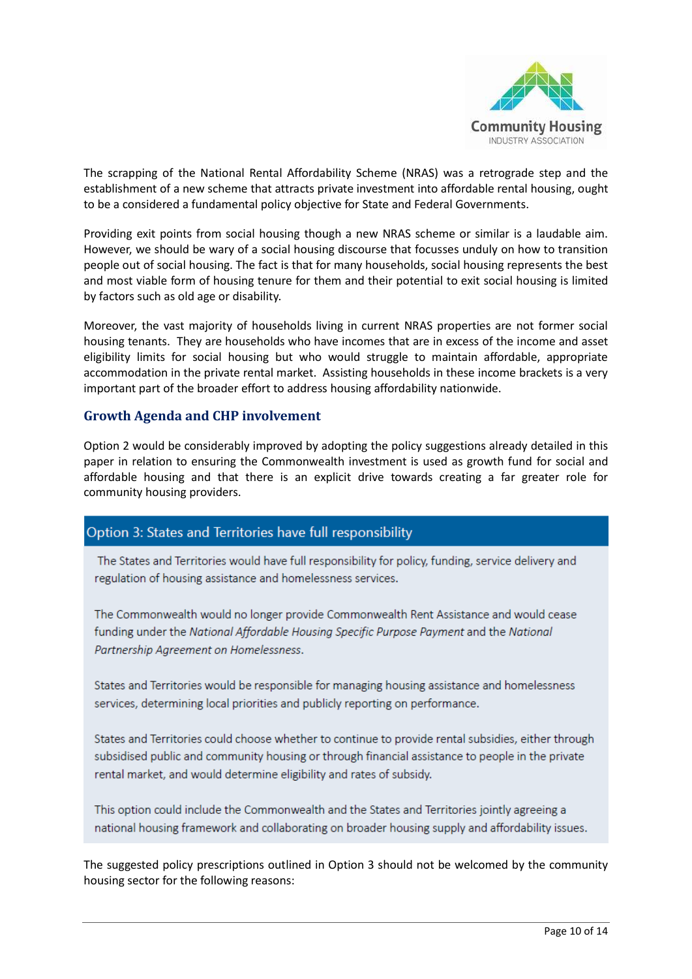

The scrapping of the National Rental Affordability Scheme (NRAS) was a retrograde step and the establishment of a new scheme that attracts private investment into affordable rental housing, ought to be a considered a fundamental policy objective for State and Federal Governments.

Providing exit points from social housing though a new NRAS scheme or similar is a laudable aim. However, we should be wary of a social housing discourse that focusses unduly on how to transition people out of social housing. The fact is that for many households, social housing represents the best and most viable form of housing tenure for them and their potential to exit social housing is limited by factors such as old age or disability.

Moreover, the vast majority of households living in current NRAS properties are not former social housing tenants. They are households who have incomes that are in excess of the income and asset eligibility limits for social housing but who would struggle to maintain affordable, appropriate accommodation in the private rental market. Assisting households in these income brackets is a very important part of the broader effort to address housing affordability nationwide.

#### **Growth Agenda and CHP involvement**

Option 2 would be considerably improved by adopting the policy suggestions already detailed in this paper in relation to ensuring the Commonwealth investment is used as growth fund for social and affordable housing and that there is an explicit drive towards creating a far greater role for community housing providers.

## Option 3: States and Territories have full responsibility

The States and Territories would have full responsibility for policy, funding, service delivery and regulation of housing assistance and homelessness services.

The Commonwealth would no longer provide Commonwealth Rent Assistance and would cease funding under the National Affordable Housing Specific Purpose Payment and the National Partnership Agreement on Homelessness.

States and Territories would be responsible for managing housing assistance and homelessness services, determining local priorities and publicly reporting on performance.

States and Territories could choose whether to continue to provide rental subsidies, either through subsidised public and community housing or through financial assistance to people in the private rental market, and would determine eligibility and rates of subsidy.

This option could include the Commonwealth and the States and Territories jointly agreeing a national housing framework and collaborating on broader housing supply and affordability issues.

The suggested policy prescriptions outlined in Option 3 should not be welcomed by the community housing sector for the following reasons: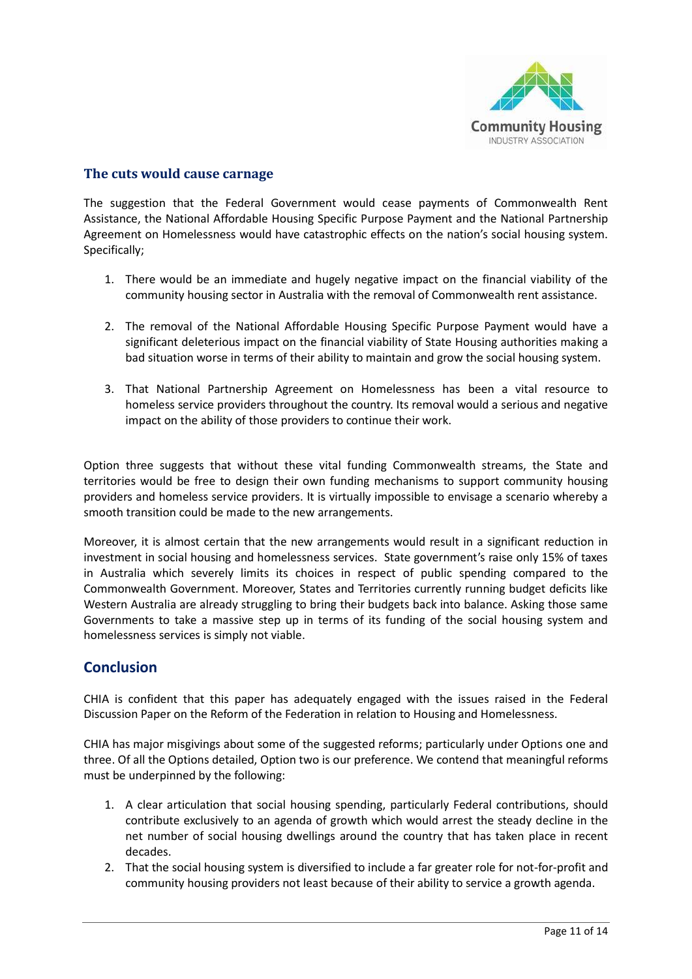

## **The cuts would cause carnage**

The suggestion that the Federal Government would cease payments of Commonwealth Rent Assistance, the National Affordable Housing Specific Purpose Payment and the National Partnership Agreement on Homelessness would have catastrophic effects on the nation's social housing system. Specifically;

- 1. There would be an immediate and hugely negative impact on the financial viability of the community housing sector in Australia with the removal of Commonwealth rent assistance.
- 2. The removal of the National Affordable Housing Specific Purpose Payment would have a significant deleterious impact on the financial viability of State Housing authorities making a bad situation worse in terms of their ability to maintain and grow the social housing system.
- 3. That National Partnership Agreement on Homelessness has been a vital resource to homeless service providers throughout the country. Its removal would a serious and negative impact on the ability of those providers to continue their work.

Option three suggests that without these vital funding Commonwealth streams, the State and territories would be free to design their own funding mechanisms to support community housing providers and homeless service providers. It is virtually impossible to envisage a scenario whereby a smooth transition could be made to the new arrangements.

Moreover, it is almost certain that the new arrangements would result in a significant reduction in investment in social housing and homelessness services. State government's raise only 15% of taxes in Australia which severely limits its choices in respect of public spending compared to the Commonwealth Government. Moreover, States and Territories currently running budget deficits like Western Australia are already struggling to bring their budgets back into balance. Asking those same Governments to take a massive step up in terms of its funding of the social housing system and homelessness services is simply not viable.

## **Conclusion**

CHIA is confident that this paper has adequately engaged with the issues raised in the Federal Discussion Paper on the Reform of the Federation in relation to Housing and Homelessness.

CHIA has major misgivings about some of the suggested reforms; particularly under Options one and three. Of all the Options detailed, Option two is our preference. We contend that meaningful reforms must be underpinned by the following:

- 1. A clear articulation that social housing spending, particularly Federal contributions, should contribute exclusively to an agenda of growth which would arrest the steady decline in the net number of social housing dwellings around the country that has taken place in recent decades.
- 2. That the social housing system is diversified to include a far greater role for not-for-profit and community housing providers not least because of their ability to service a growth agenda.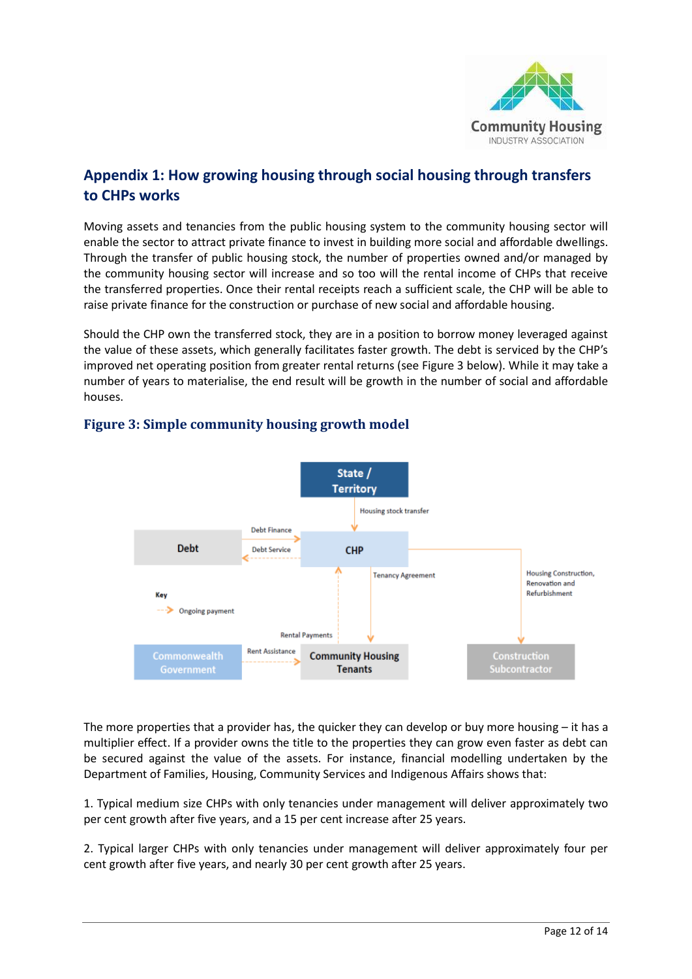

# **Appendix 1: How growing housing through social housing through transfers to CHPs works**

Moving assets and tenancies from the public housing system to the community housing sector will enable the sector to attract private finance to invest in building more social and affordable dwellings. Through the transfer of public housing stock, the number of properties owned and/or managed by the community housing sector will increase and so too will the rental income of CHPs that receive the transferred properties. Once their rental receipts reach a sufficient scale, the CHP will be able to raise private finance for the construction or purchase of new social and affordable housing.

Should the CHP own the transferred stock, they are in a position to borrow money leveraged against the value of these assets, which generally facilitates faster growth. The debt is serviced by the CHP's improved net operating position from greater rental returns (see Figure 3 below). While it may take a number of years to materialise, the end result will be growth in the number of social and affordable houses.



# **Figure 3: Simple community housing growth model**

The more properties that a provider has, the quicker they can develop or buy more housing – it has a multiplier effect. If a provider owns the title to the properties they can grow even faster as debt can be secured against the value of the assets. For instance, financial modelling undertaken by the Department of Families, Housing, Community Services and Indigenous Affairs shows that:

1. Typical medium size CHPs with only tenancies under management will deliver approximately two per cent growth after five years, and a 15 per cent increase after 25 years.

2. Typical larger CHPs with only tenancies under management will deliver approximately four per cent growth after five years, and nearly 30 per cent growth after 25 years.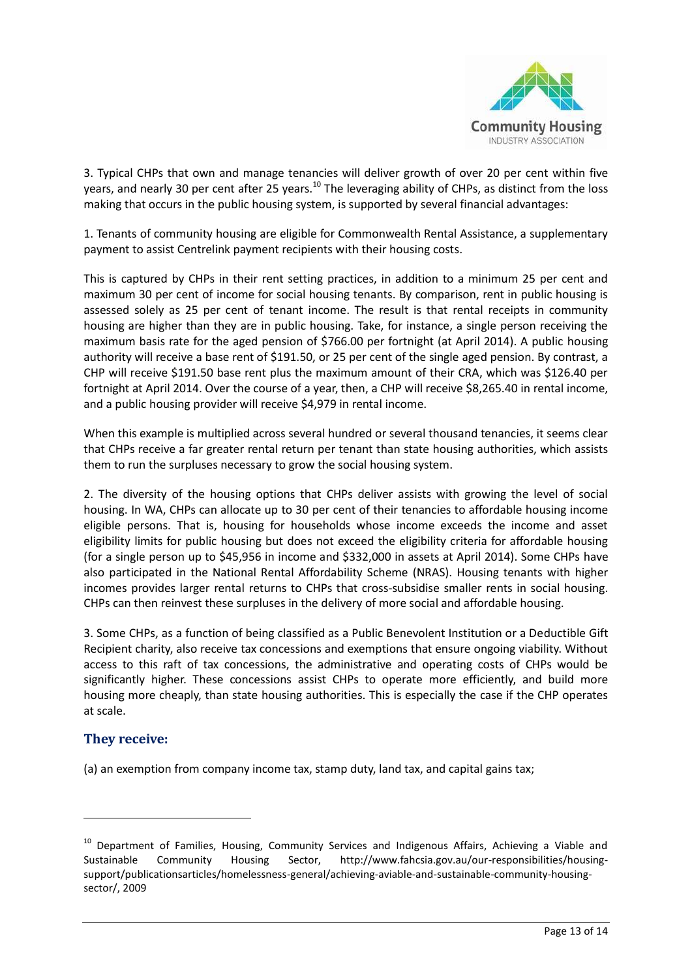

3. Typical CHPs that own and manage tenancies will deliver growth of over 20 per cent within five years, and nearly 30 per cent after 25 years.<sup>10</sup> The leveraging ability of CHPs, as distinct from the loss making that occurs in the public housing system, is supported by several financial advantages:

1. Tenants of community housing are eligible for Commonwealth Rental Assistance, a supplementary payment to assist Centrelink payment recipients with their housing costs.

This is captured by CHPs in their rent setting practices, in addition to a minimum 25 per cent and maximum 30 per cent of income for social housing tenants. By comparison, rent in public housing is assessed solely as 25 per cent of tenant income. The result is that rental receipts in community housing are higher than they are in public housing. Take, for instance, a single person receiving the maximum basis rate for the aged pension of \$766.00 per fortnight (at April 2014). A public housing authority will receive a base rent of \$191.50, or 25 per cent of the single aged pension. By contrast, a CHP will receive \$191.50 base rent plus the maximum amount of their CRA, which was \$126.40 per fortnight at April 2014. Over the course of a year, then, a CHP will receive \$8,265.40 in rental income, and a public housing provider will receive \$4,979 in rental income.

When this example is multiplied across several hundred or several thousand tenancies, it seems clear that CHPs receive a far greater rental return per tenant than state housing authorities, which assists them to run the surpluses necessary to grow the social housing system.

2. The diversity of the housing options that CHPs deliver assists with growing the level of social housing. In WA, CHPs can allocate up to 30 per cent of their tenancies to affordable housing income eligible persons. That is, housing for households whose income exceeds the income and asset eligibility limits for public housing but does not exceed the eligibility criteria for affordable housing (for a single person up to \$45,956 in income and \$332,000 in assets at April 2014). Some CHPs have also participated in the National Rental Affordability Scheme (NRAS). Housing tenants with higher incomes provides larger rental returns to CHPs that cross-subsidise smaller rents in social housing. CHPs can then reinvest these surpluses in the delivery of more social and affordable housing.

3. Some CHPs, as a function of being classified as a Public Benevolent Institution or a Deductible Gift Recipient charity, also receive tax concessions and exemptions that ensure ongoing viability. Without access to this raft of tax concessions, the administrative and operating costs of CHPs would be significantly higher. These concessions assist CHPs to operate more efficiently, and build more housing more cheaply, than state housing authorities. This is especially the case if the CHP operates at scale.

#### **They receive:**

**.** 

(a) an exemption from company income tax, stamp duty, land tax, and capital gains tax;

<sup>&</sup>lt;sup>10</sup> Department of Families, Housing, Community Services and Indigenous Affairs, Achieving a Viable and Sustainable Community Housing Sector, http://www.fahcsia.gov.au/our-responsibilities/housingsupport/publicationsarticles/homelessness-general/achieving-aviable-and-sustainable-community-housingsector/, 2009